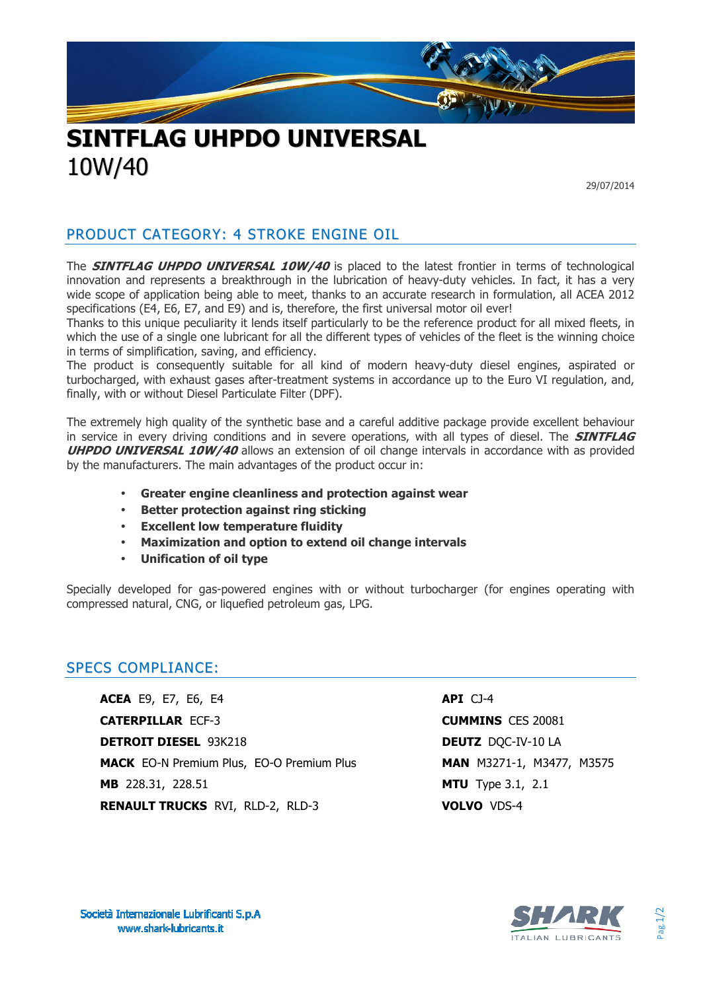

## **SINTFLAG UHPDO UNIVERSAL** 10W/40

29/07/2014

#### PRODUCT CATEGORY: 4 STROKE ENGINE OIL

The **SINTFLAG UHPDO UNIVERSAL 10W/40** is placed to the latest frontier in terms of technological innovation and represents a breakthrough in the lubrication of heavy-duty vehicles. In fact, it has a very wide scope of application being able to meet, thanks to an accurate research in formulation, all ACEA 2012 specifications (E4, E6, E7, and E9) and is, therefore, the first universal motor oil ever!

Thanks to this unique peculiarity it lends itself particularly to be the reference product for all mixed fleets, in which the use of a single one lubricant for all the different types of vehicles of the fleet is the winning choice in terms of simplification, saving, and efficiency.

The product is consequently suitable for all kind of modern heavy-duty diesel engines, aspirated or turbocharged, with exhaust gases after-treatment systems in accordance up to the Euro VI regulation, and, finally, with or without Diesel Particulate Filter (DPF).

The extremely high quality of the synthetic base and a careful additive package provide excellent behaviour in service in every driving conditions and in severe operations, with all types of diesel. The **SINTFLAG UHPDO UNIVERSAL 10W/40** allows an extension of oil change intervals in accordance with as provided by the manufacturers. The main advantages of the product occur in:

- **Greater engine cleanliness and protection against wear**
- **Better protection against ring sticking**
- **Excellent low temperature fluidity**
- **Maximization and option to extend oil change intervals**
- **Unification of oil type**

Specially developed for gas-powered engines with or without turbocharger (for engines operating with compressed natural, CNG, or liquefied petroleum gas, LPG.

#### SPECS COMPLIANCE:

**ACEA** E9, E7, E6, E4 **API** CJ-4 **CATERPILLAR** ECF-3 **CUMMINS** CES 20081 **DETROIT DIESEL** 93K218 **DEUTZ** DQC-IV-10 LA **MACK** EO-N Premium Plus, EO-O Premium Plus **MAN** M3271-1, M3477, M3575 **MB** 228.31, 228.51 **MTU** Type 3.1, 2.1 **RENAULT TRUCKS** RVI, RLD-2, RLD-3 **VOLVO** VDS-4